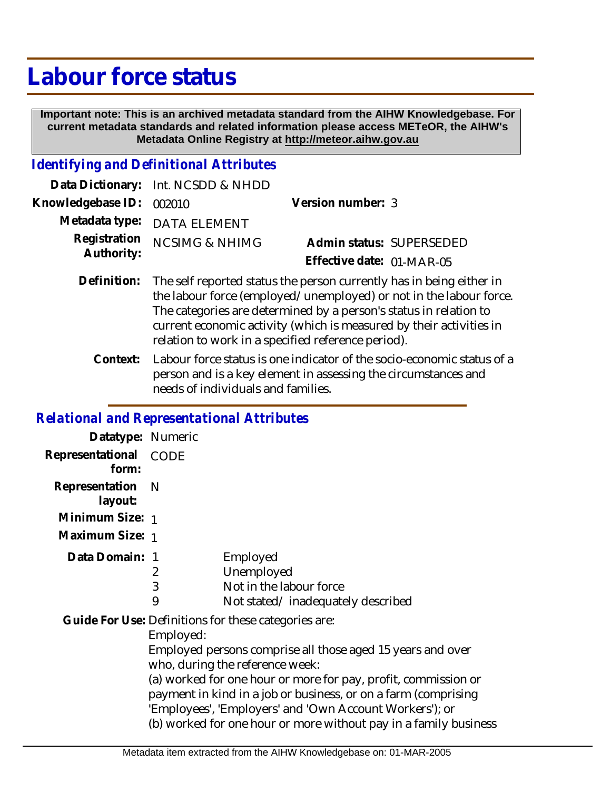# **Labour force status**

 **Important note: This is an archived metadata standard from the AIHW Knowledgebase. For current metadata standards and related information please access METeOR, the AIHW's Metadata Online Registry at http://meteor.aihw.gov.au**

## *Identifying and Definitional Attributes*

|                          | Data Dictionary: Int. NCSDD & NHDD |                           |  |
|--------------------------|------------------------------------|---------------------------|--|
| Knowledgebase ID: 002010 |                                    | Version number: 3         |  |
|                          | Metadata type: DATA ELEMENT        |                           |  |
| Authority:               | Registration NCSIMG & NHIMG        | Admin status: SUPERSEDED  |  |
|                          |                                    | Effective date: 01-MAR-05 |  |
|                          |                                    |                           |  |

- Definition: The self reported status the person currently has in being either in the labour force (employed/unemployed) or not in the labour force. The categories are determined by a person's status in relation to current economic activity (which is measured by their activities in relation to work in a specified reference period).
	- Labour force status is one indicator of the socio-economic status of a person and is a key element in assessing the circumstances and needs of individuals and families. **Context:**

#### *Relational and Representational Attributes*

| Datatype: Numeric         |             |                                                                                                                                                                                                                                                                                                                                                                                                                          |
|---------------------------|-------------|--------------------------------------------------------------------------------------------------------------------------------------------------------------------------------------------------------------------------------------------------------------------------------------------------------------------------------------------------------------------------------------------------------------------------|
| Representational<br>form: | <b>CODE</b> |                                                                                                                                                                                                                                                                                                                                                                                                                          |
| Representation<br>layout: | - N         |                                                                                                                                                                                                                                                                                                                                                                                                                          |
| Minimum Size: 1           |             |                                                                                                                                                                                                                                                                                                                                                                                                                          |
| Maximum Size: 1           |             |                                                                                                                                                                                                                                                                                                                                                                                                                          |
| Data Domain: 1            | 2<br>3<br>9 | Employed<br>Unemployed<br>Not in the labour force<br>Not stated/inadequately described                                                                                                                                                                                                                                                                                                                                   |
|                           | Employed:   | Guide For Use: Definitions for these categories are:<br>Employed persons comprise all those aged 15 years and over<br>who, during the reference week:<br>(a) worked for one hour or more for pay, profit, commission or<br>payment in kind in a job or business, or on a farm (comprising<br>'Employees', 'Employers' and 'Own Account Workers'); or<br>(b) worked for one hour or more without pay in a family business |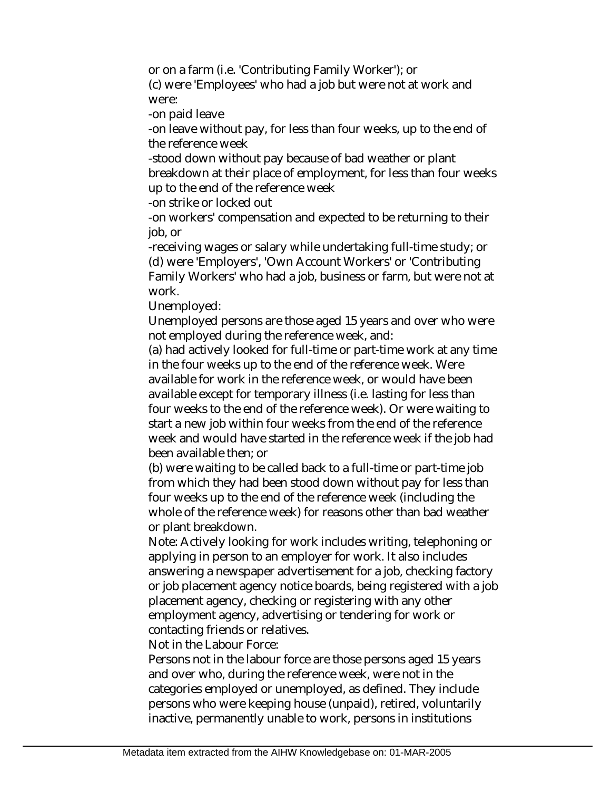or on a farm (i.e. 'Contributing Family Worker'); or (c) were 'Employees' who had a job but were not at work and were:

-on paid leave

-on leave without pay, for less than four weeks, up to the end of the reference week

-stood down without pay because of bad weather or plant breakdown at their place of employment, for less than four weeks up to the end of the reference week

-on strike or locked out

-on workers' compensation and expected to be returning to their job, or

-receiving wages or salary while undertaking full-time study; or (d) were 'Employers', 'Own Account Workers' or 'Contributing Family Workers' who had a job, business or farm, but were not at work.

Unemployed:

Unemployed persons are those aged 15 years and over who were not employed during the reference week, and:

(a) had actively looked for full-time or part-time work at any time in the four weeks up to the end of the reference week. Were available for work in the reference week, or would have been available except for temporary illness (i.e. lasting for less than four weeks to the end of the reference week). Or were waiting to start a new job within four weeks from the end of the reference week and would have started in the reference week if the job had been available then; or

(b) were waiting to be called back to a full-time or part-time job from which they had been stood down without pay for less than four weeks up to the end of the reference week (including the whole of the reference week) for reasons other than bad weather or plant breakdown.

Note: Actively looking for work includes writing, telephoning or applying in person to an employer for work. It also includes answering a newspaper advertisement for a job, checking factory or job placement agency notice boards, being registered with a job placement agency, checking or registering with any other employment agency, advertising or tendering for work or contacting friends or relatives.

Not in the Labour Force:

Persons not in the labour force are those persons aged 15 years and over who, during the reference week, were not in the categories employed or unemployed, as defined. They include persons who were keeping house (unpaid), retired, voluntarily inactive, permanently unable to work, persons in institutions